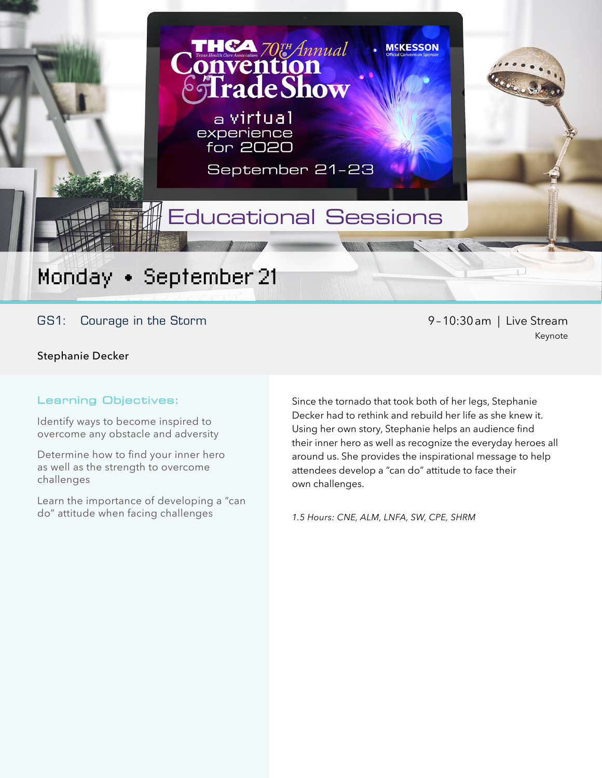Monday • September 21

GS1: Courage in the Storm example of the Stream of the Stream of the Stream of the Stream of the Stream of the Stream

Stephanie Decker

#### Learning Objectives:

Identify ways to become inspired to overcome any obstacle and adversity

Determine how to find your inner hero as well as the strength to overcome challenges

Learn the importance of developing a "can do" attitude when facing challenges

Keynote

Since the tornado that took both of her legs, Stephanie Decker had to rethink and rebuild her life as she knew it. Using her own story, Stephanie helps an audience find their inner hero as well as recognize the everyday heroes all around us. She provides the inspirational message to help attendees develop a "can do" attitude to face their own challenges.

**MEKESSON** 

*1.5 Hours: CNE, ALM, LNFA, SW, CPE, SHRM*

Educational Sessions

**CA 70TH Annual** 

**adeShow** 

September 21-23

a virtual experience for 2020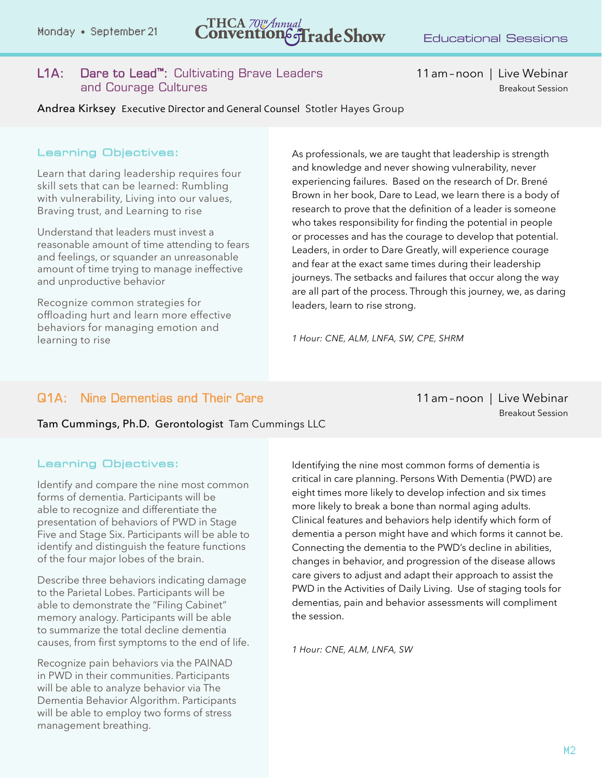# Monday • September 21  $\blacksquare$   $\blacksquare$   $\blacksquare$   $\blacksquare$   $\blacksquare$   $\blacksquare$   $\blacksquare$   $\blacksquare$   $\blacksquare$   $\blacksquare$   $\blacksquare$   $\blacksquare$   $\blacksquare$   $\blacksquare$   $\blacksquare$   $\blacksquare$   $\blacksquare$   $\blacksquare$   $\blacksquare$   $\blacksquare$   $\blacksquare$   $\blacksquare$   $\blacksquare$   $\blacksquare$   $\blacksquare$   $\blacksquare$   $\blacksquare$   $\blacksquare$   $\bl$

#### L1A: Dare to Lead™: Cultivating Brave Leaders 11am-noon | Live Webinar and Courage Cultures Breakout Session and Courage Cultures Breakout Session and Session Breakout Session

Andrea Kirksey Executive Director and General Counsel Stotler Hayes Group

#### Learning Objectives:

Learn that daring leadership requires four skill sets that can be learned: Rumbling with vulnerability, Living into our values, Braving trust, and Learning to rise

Understand that leaders must invest a reasonable amount of time attending to fears and feelings, or squander an unreasonable amount of time trying to manage ineffective and unproductive behavior

Recognize common strategies for offloading hurt and learn more effective behaviors for managing emotion and learning to rise

As professionals, we are taught that leadership is strength and knowledge and never showing vulnerability, never experiencing failures. Based on the research of Dr. Brené Brown in her book, Dare to Lead, we learn there is a body of research to prove that the definition of a leader is someone who takes responsibility for finding the potential in people or processes and has the courage to develop that potential. Leaders, in order to Dare Greatly, will experience courage and fear at the exact same times during their leadership journeys. The setbacks and failures that occur along the way are all part of the process. Through this journey, we, as daring leaders, learn to rise strong.

*1 Hour: CNE, ALM, LNFA, SW, CPE, SHRM*

#### Q1A: Nine Dementias and Their Care 11am–noon | Live Webinar

Breakout Session

#### Tam Cummings, Ph.D. Gerontologist Tam Cummings LLC

#### Learning Objectives:

Identify and compare the nine most common forms of dementia. Participants will be able to recognize and differentiate the presentation of behaviors of PWD in Stage Five and Stage Six. Participants will be able to identify and distinguish the feature functions of the four major lobes of the brain.

Describe three behaviors indicating damage to the Parietal Lobes. Participants will be able to demonstrate the "Filing Cabinet" memory analogy. Participants will be able to summarize the total decline dementia causes, from first symptoms to the end of life.

Recognize pain behaviors via the PAINAD in PWD in their communities. Participants will be able to analyze behavior via The Dementia Behavior Algorithm. Participants will be able to employ two forms of stress management breathing.

Identifying the nine most common forms of dementia is critical in care planning. Persons With Dementia (PWD) are eight times more likely to develop infection and six times more likely to break a bone than normal aging adults. Clinical features and behaviors help identify which form of dementia a person might have and which forms it cannot be. Connecting the dementia to the PWD's decline in abilities, changes in behavior, and progression of the disease allows care givers to adjust and adapt their approach to assist the PWD in the Activities of Daily Living. Use of staging tools for dementias, pain and behavior assessments will compliment the session.

*1 Hour: CNE, ALM, LNFA, SW*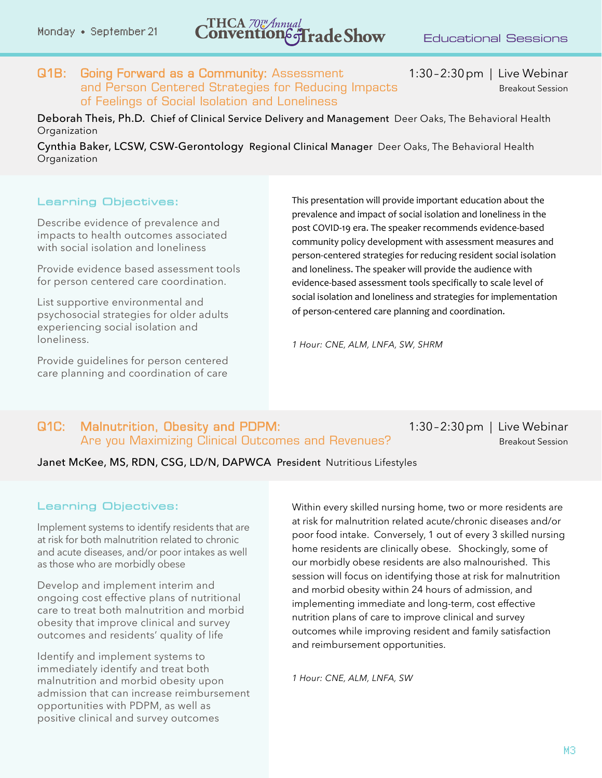## Monday • September 21 **CONVENTION**  $\sigma$  **Convention**  $\sigma$   $\sigma$  **Convention**  $\sigma$   $\sigma$  **Convention**  $\sigma$   $\sigma$  **Convention**  $\sigma$  **Convention**  $\sigma$  **Convention**  $\sigma$  **Convention**  $\sigma$  **Convention**  $\sigma$  **Convention**  $\sigma$  **Con**

Q1B: Going Forward as a Community: Assessment 1:30–2:30pm | Live Webinar and Person Centered Strategies for Reducing Impacts Breakout Session of Feelings of Social Isolation and Loneliness

Deborah Theis, Ph.D. Chief of Clinical Service Delivery and Management Deer Oaks, The Behavioral Health **Organization** 

Cynthia Baker, LCSW, CSW-Gerontology Regional Clinical Manager Deer Oaks, The Behavioral Health **Organization** 

#### Learning Objectives:

Describe evidence of prevalence and impacts to health outcomes associated with social isolation and loneliness

Provide evidence based assessment tools for person centered care coordination.

List supportive environmental and psychosocial strategies for older adults experiencing social isolation and loneliness.

Provide guidelines for person centered care planning and coordination of care

This presentation will provide important education about the prevalence and impact of social isolation and loneliness in the post COVID-19 era. The speaker recommends evidence-based community policy development with assessment measures and person-centered strategies for reducing resident social isolation and loneliness. The speaker will provide the audience with evidence-based assessment tools specifically to scale level of social isolation and loneliness and strategies for implementation of person-centered care planning and coordination.

*1 Hour: CNE, ALM, LNFA, SW, SHRM*

#### Q1C: Malnutrition, Obesity and PDPM: 1:30–2:30pm | Live Webinar Are you Maximizing Clinical Outcomes and Revenues? Breakout Session

Janet McKee, MS, RDN, CSG, LD/N, DAPWCA President Nutritious Lifestyles

#### Learning Objectives:

Implement systems to identify residents that are at risk for both malnutrition related to chronic and acute diseases, and/or poor intakes as well as those who are morbidly obese

Develop and implement interim and ongoing cost effective plans of nutritional care to treat both malnutrition and morbid obesity that improve clinical and survey outcomes and residents' quality of life

Identify and implement systems to immediately identify and treat both malnutrition and morbid obesity upon admission that can increase reimbursement opportunities with PDPM, as well as positive clinical and survey outcomes

Within every skilled nursing home, two or more residents are at risk for malnutrition related acute/chronic diseases and/or poor food intake. Conversely, 1 out of every 3 skilled nursing home residents are clinically obese. Shockingly, some of our morbidly obese residents are also malnourished. This session will focus on identifying those at risk for malnutrition and morbid obesity within 24 hours of admission, and implementing immediate and long-term, cost effective nutrition plans of care to improve clinical and survey outcomes while improving resident and family satisfaction and reimbursement opportunities.

*1 Hour: CNE, ALM, LNFA, SW*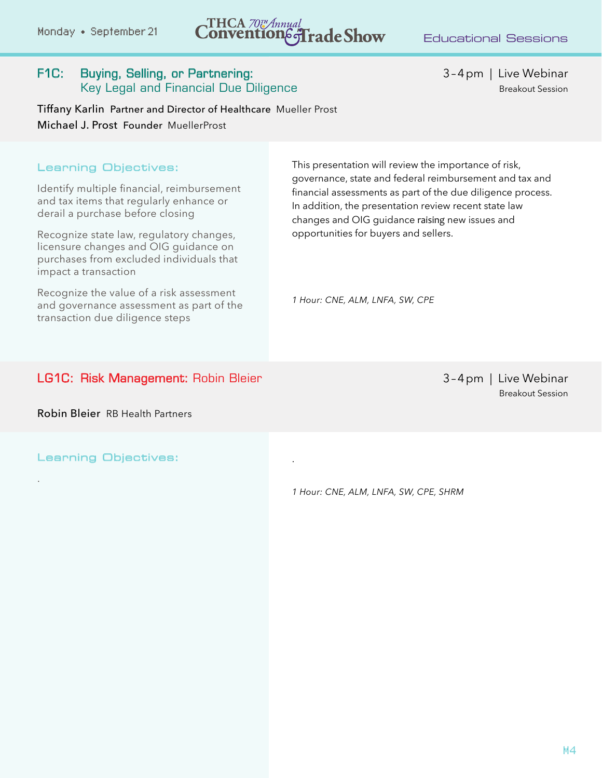## Monday • September 21  $\blacksquare$   $\blacksquare$   $\blacksquare$   $\blacksquare$   $\blacksquare$   $\blacksquare$   $\blacksquare$   $\blacksquare$   $\blacksquare$   $\blacksquare$   $\blacksquare$   $\blacksquare$   $\blacksquare$   $\blacksquare$   $\blacksquare$   $\blacksquare$   $\blacksquare$   $\blacksquare$   $\blacksquare$   $\blacksquare$   $\blacksquare$   $\blacksquare$   $\blacksquare$   $\blacksquare$   $\blacksquare$   $\blacksquare$   $\blacksquare$   $\blacksquare$   $\bl$

.

#### F1C: Buying, Selling, or Partnering: 3-4pm | Live Webinar Key Legal and Financial Due Diligence Breakout Session Breakout Session

Tiffany Karlin Partner and Director of Healthcare Mueller Prost Michael J. Prost Founder MuellerProst

#### Learning Objectives:

Identify multiple financial, reimbursement and tax items that regularly enhance or derail a purchase before closing

Recognize state law, regulatory changes, licensure changes and OIG guidance on purchases from excluded individuals that impact a transaction

Recognize the value of a risk assessment and governance assessment as part of the transaction due diligence steps

This presentation will review the importance of risk, governance, state and federal reimbursement and tax and financial assessments as part of the due diligence process. In addition, the presentation review recent state law changes and OIG guidance raising new issues and opportunities for buyers and sellers.

*1 Hour: CNE, ALM, LNFA, SW, CPE*

#### LG1C: Risk Management: Robin Bleier 3-4pm | Live Webinar

Breakout Session

Robin Bleier RB Health Partners

Learning Objectives:

.

*1 Hour: CNE, ALM, LNFA, SW, CPE, SHRM*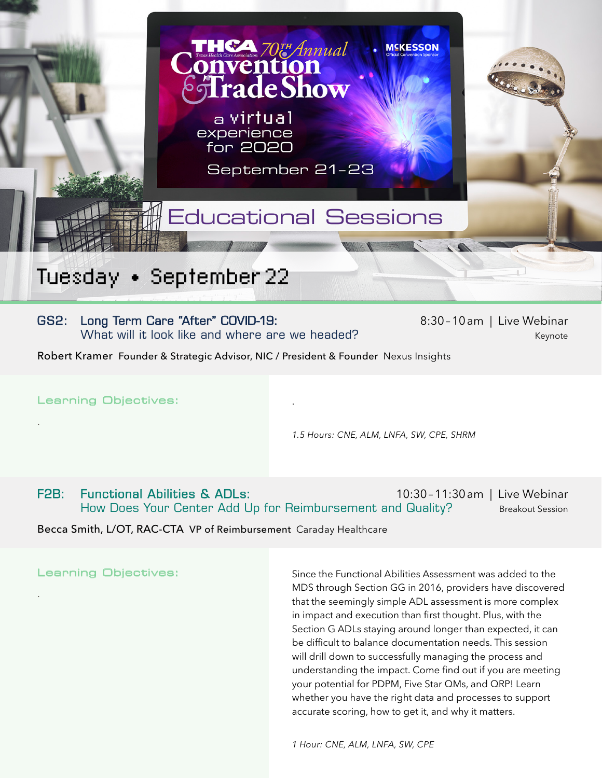

### Tuesday • September 22

#### GS2: Long Term Care "After" COVID-19: 8:30-10am | Live Webinar What will it look like and where are we headed? What will it look like and where are we headed?

Robert Kramer Founder & Strategic Advisor, NIC / President & Founder Nexus Insights

Learning Objectives:

.

.

*1.5 Hours: CNE, ALM, LNFA, SW, CPE, SHRM*

F2B: Functional Abilities & ADLs: 10:30-11:30am | Live Webinar How Does Your Center Add Up for Reimbursement and Quality? Breakout Session

.

Becca Smith, L/OT, RAC-CTA VP of Reimbursement Caraday Healthcare

Learning Objectives:

Since the Functional Abilities Assessment was added to the MDS through Section GG in 2016, providers have discovered that the seemingly simple ADL assessment is more complex in impact and execution than first thought. Plus, with the Section G ADLs staying around longer than expected, it can be difficult to balance documentation needs. This session will drill down to successfully managing the process and understanding the impact. Come find out if you are meeting your potential for PDPM, Five Star QMs, and QRP! Learn whether you have the right data and processes to support accurate scoring, how to get it, and why it matters.

*1 Hour: CNE, ALM, LNFA, SW, CPE*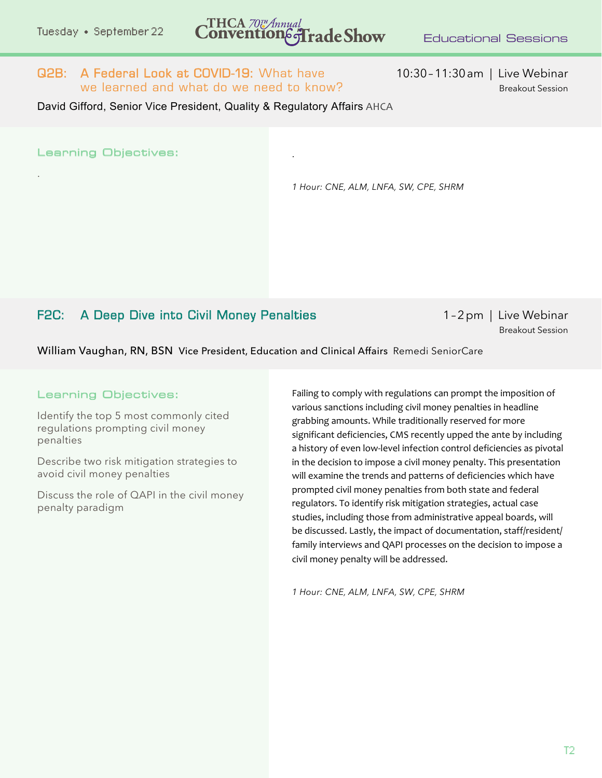### Tuesday • September 22 **CONVENTION 6-Trade Show** Educational Sessions

.

#### Q2B: A Federal Look at COVID-19: What have 10:30-11:30am | Live Webinar we learned and what do we need to know? Breakout Session

David Gifford, Senior Vice President, Quality & Regulatory Affairs AHCA

Learning Objectives:

.

*1 Hour: CNE, ALM, LNFA, SW, CPE, SHRM*

### F2C: A Deep Dive into Civil Money Penalties Money 1–2pm | Live Webinar

Breakout Session

William Vaughan, RN, BSN Vice President, Education and Clinical Affairs Remedi SeniorCare

#### Learning Objectives:

Identify the top 5 most commonly cited regulations prompting civil money penalties

Describe two risk mitigation strategies to avoid civil money penalties

Discuss the role of QAPI in the civil money penalty paradigm

Failing to comply with regulations can prompt the imposition of various sanctions including civil money penalties in headline grabbing amounts. While traditionally reserved for more significant deficiencies, CMS recently upped the ante by including a history of even low-level infection control deficiencies as pivotal in the decision to impose a civil money penalty. This presentation will examine the trends and patterns of deficiencies which have prompted civil money penalties from both state and federal regulators. To identify risk mitigation strategies, actual case studies, including those from administrative appeal boards, will be discussed. Lastly, the impact of documentation, staff/resident/ family interviews and QAPI processes on the decision to impose a civil money penalty will be addressed.

*1 Hour: CNE, ALM, LNFA, SW, CPE, SHRM*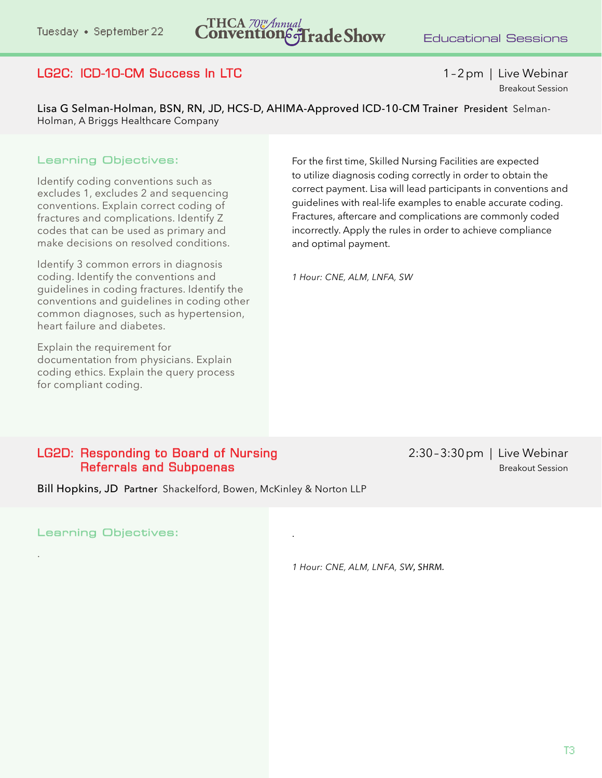### Tuesday • September 22 **CONVENTION 6 Trade Show** Educational Sessions

### LG2C: ICD-10-CM Success In LTC 1–2pm | Live Webinar

Breakout Session

Lisa G Selman-Holman, BSN, RN, JD, HCS-D, AHIMA-Approved ICD-10-CM Trainer President Selman-Holman, A Briggs Healthcare Company

#### Learning Objectives:

Identify coding conventions such as excludes 1, excludes 2 and sequencing conventions. Explain correct coding of fractures and complications. Identify Z codes that can be used as primary and make decisions on resolved conditions.

Identify 3 common errors in diagnosis coding. Identify the conventions and guidelines in coding fractures. Identify the conventions and guidelines in coding other common diagnoses, such as hypertension, heart failure and diabetes.

Explain the requirement for documentation from physicians. Explain coding ethics. Explain the query process for compliant coding.

For the first time, Skilled Nursing Facilities are expected to utilize diagnosis coding correctly in order to obtain the correct payment. Lisa will lead participants in conventions and guidelines with real-life examples to enable accurate coding. Fractures, aftercare and complications are commonly coded incorrectly. Apply the rules in order to achieve compliance and optimal payment.

*1 Hour: CNE, ALM, LNFA, SW*

#### LG2D: Responding to Board of Nursing 2:30 - 3:30 pm | Live Webinar **Referrals and Subpoenas** Breakout Session

Bill Hopkins, JD Partner Shackelford, Bowen, McKinley & Norton LLP

Learning Objectives:

.

*1 Hour: CNE, ALM, LNFA, SW, SHRM.* 

.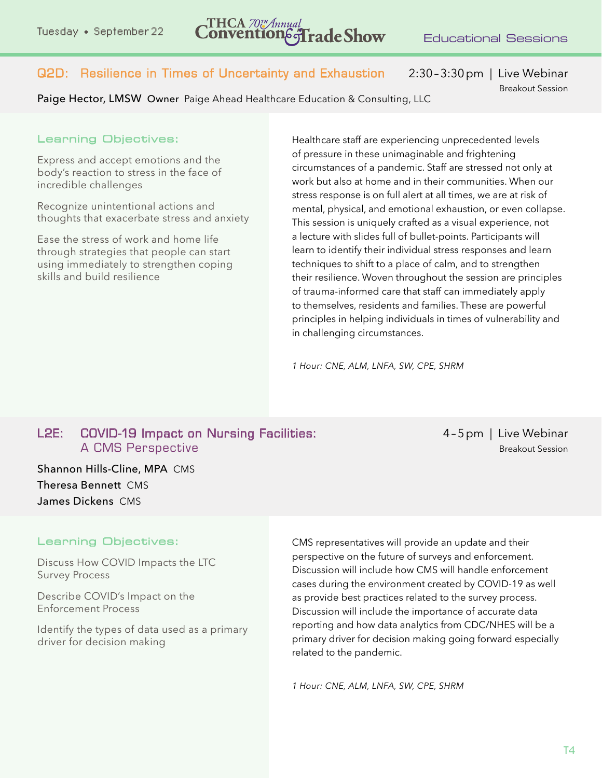Q2D: Resilience in Times of Uncertainty and Exhaustion2:30–3:30pm | Live Webinar

Paige Hector, LMSW Owner Paige Ahead Healthcare Education & Consulting, LLC

Breakout Session

#### Learning Objectives:

Express and accept emotions and the body's reaction to stress in the face of incredible challenges

Recognize unintentional actions and thoughts that exacerbate stress and anxiety

Ease the stress of work and home life through strategies that people can start using immediately to strengthen coping skills and build resilience

Healthcare staff are experiencing unprecedented levels of pressure in these unimaginable and frightening circumstances of a pandemic. Staff are stressed not only at work but also at home and in their communities. When our stress response is on full alert at all times, we are at risk of mental, physical, and emotional exhaustion, or even collapse. This session is uniquely crafted as a visual experience, not a lecture with slides full of bullet-points. Participants will learn to identify their individual stress responses and learn techniques to shift to a place of calm, and to strengthen their resilience. Woven throughout the session are principles of trauma-informed care that staff can immediately apply to themselves, residents and families. These are powerful principles in helping individuals in times of vulnerability and in challenging circumstances.

*1 Hour: CNE, ALM, LNFA, SW, CPE, SHRM*

#### L2E: COVID-19 Impact on Nursing Facilities: 4-5pm | Live Webinar A CMS Perspective Breakout Session

Shannon Hills-Cline, MPA CMS Theresa Bennett CMS James Dickens CMS

#### Learning Objectives:

Discuss How COVID Impacts the LTC Survey Process

Describe COVID's Impact on the Enforcement Process

Identify the types of data used as a primary driver for decision making

CMS representatives will provide an update and their perspective on the future of surveys and enforcement. Discussion will include how CMS will handle enforcement cases during the environment created by COVID-19 as well as provide best practices related to the survey process. Discussion will include the importance of accurate data reporting and how data analytics from CDC/NHES will be a primary driver for decision making going forward especially related to the pandemic.

*1 Hour: CNE, ALM, LNFA, SW, CPE, SHRM*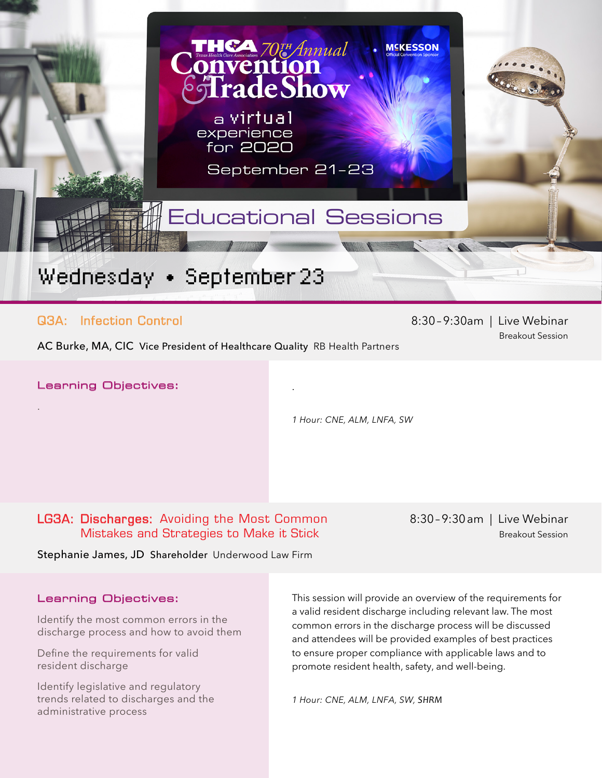

.

#### Q3A: Infection Control 8:30-9:30am | Live Webinar

Breakout Session

AC Burke, MA, CIC Vice President of Healthcare Quality RB Health Partners

Learning Objectives:

.

*1 Hour: CNE, ALM, LNFA, SW*

LG3A: Discharges: Avoiding the Most Common8:30–9:30am | Live Webinar Mistakes and Strategies to Make it Stick Breakout Session

Stephanie James, JD Shareholder Underwood Law Firm

#### Learning Objectives:

Identify the most common errors in the discharge process and how to avoid them

Define the requirements for valid resident discharge

Identify legislative and regulatory trends related to discharges and the administrative process

This session will provide an overview of the requirements for a valid resident discharge including relevant law. The most common errors in the discharge process will be discussed and attendees will be provided examples of best practices to ensure proper compliance with applicable laws and to promote resident health, safety, and well-being.

*1 Hour: CNE, ALM, LNFA, SW, SHRM*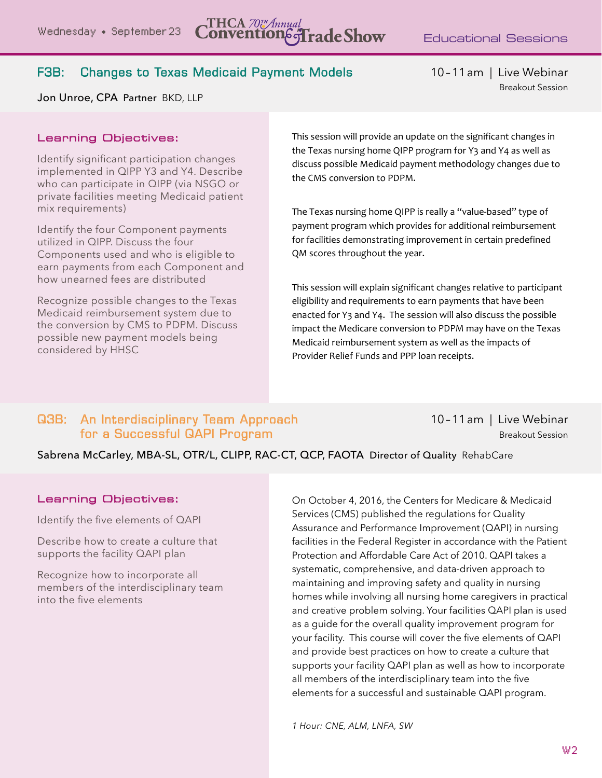#### F3B: Changes to Texas Medicaid Payment Models 10-11am | Live Webinar

Breakout Session

Jon Unroe, CPA Partner BKD, LLP

#### Learning Objectives:

Identify significant participation changes implemented in QIPP Y3 and Y4. Describe who can participate in QIPP (via NSGO or private facilities meeting Medicaid patient mix requirements)

Identify the four Component payments utilized in QIPP. Discuss the four Components used and who is eligible to earn payments from each Component and how unearned fees are distributed

Recognize possible changes to the Texas Medicaid reimbursement system due to the conversion by CMS to PDPM. Discuss possible new payment models being considered by HHSC

This session will provide an update on the significant changes in the Texas nursing home QIPP program for Y3 and Y4 as well as discuss possible Medicaid payment methodology changes due to the CMS conversion to PDPM.

The Texas nursing home QIPP is really a "value-based" type of payment program which provides for additional reimbursement for facilities demonstrating improvement in certain predefined QM scores throughout the year.

This session will explain significant changes relative to participant eligibility and requirements to earn payments that have been enacted for Y3 and Y4. The session will also discuss the possible impact the Medicare conversion to PDPM may have on the Texas Medicaid reimbursement system as well as the impacts of Provider Relief Funds and PPP loan receipts.

#### *1 Hour: CNE, ALM, LNFA, SW, CPE* Q3B: An Interdisciplinary Team Approach10–11am | Live Webinar **For a Successful QAPI Program Breakout Session**

Sabrena McCarley, MBA-SL, OTR/L, CLIPP, RAC-CT, QCP, FAOTA Director of Quality RehabCare

#### Learning Objectives:

Identify the five elements of QAPI

Describe how to create a culture that supports the facility QAPI plan

Recognize how to incorporate all members of the interdisciplinary team into the five elements

On October 4, 2016, the Centers for Medicare & Medicaid Services (CMS) published the regulations for Quality Assurance and Performance Improvement (QAPI) in nursing facilities in the Federal Register in accordance with the Patient Protection and Affordable Care Act of 2010. QAPI takes a systematic, comprehensive, and data-driven approach to maintaining and improving safety and quality in nursing homes while involving all nursing home caregivers in practical and creative problem solving. Your facilities QAPI plan is used as a guide for the overall quality improvement program for your facility. This course will cover the five elements of QAPI and provide best practices on how to create a culture that supports your facility QAPI plan as well as how to incorporate all members of the interdisciplinary team into the five elements for a successful and sustainable QAPI program.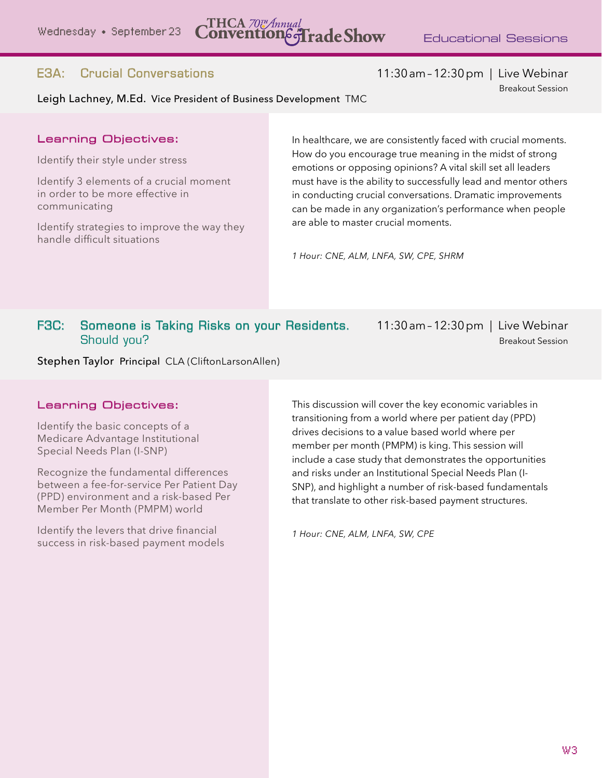E3A: Crucial Conversations 11:30am–12:30pm | Live Webinar

Breakout Session

#### Leigh Lachney, M.Ed. Vice President of Business Development TMC

#### Learning Objectives:

Identify their style under stress

Identify 3 elements of a crucial moment in order to be more effective in communicating

Identify strategies to improve the way they handle difficult situations

In healthcare, we are consistently faced with crucial moments. How do you encourage true meaning in the midst of strong emotions or opposing opinions? A vital skill set all leaders must have is the ability to successfully lead and mentor others in conducting crucial conversations. Dramatic improvements can be made in any organization's performance when people are able to master crucial moments.

*1 Hour: CNE, ALM, LNFA, SW, CPE, SHRM*

#### F3C: Someone is Taking Risks on your Residents. 11:30am–12:30pm | Live Webinar **Should you?** Breakout Session

Stephen Taylor Principal CLA (CliftonLarsonAllen)

#### Learning Objectives:

Identify the basic concepts of a Medicare Advantage Institutional Special Needs Plan (I-SNP)

Recognize the fundamental differences between a fee-for-service Per Patient Day (PPD) environment and a risk-based Per Member Per Month (PMPM) world

Identify the levers that drive financial success in risk-based payment models This discussion will cover the key economic variables in transitioning from a world where per patient day (PPD) drives decisions to a value based world where per member per month (PMPM) is king. This session will include a case study that demonstrates the opportunities and risks under an Institutional Special Needs Plan (I-SNP), and highlight a number of risk-based fundamentals that translate to other risk-based payment structures.

*1 Hour: CNE, ALM, LNFA, SW, CPE*